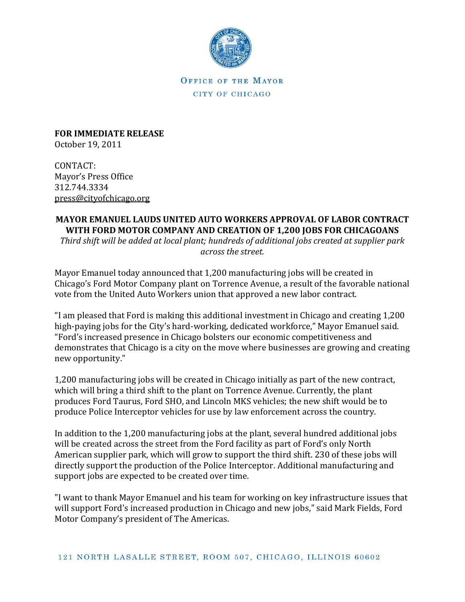

OFFICE OF THE MAYOR CITY OF CHICAGO

**FOR IMMEDIATE RELEASE** October 19, 2011

CONTACT: Mayor's Press Office 312.744.3334 [press@cityofchicago.org](mailto:press@cityofchicago.org)

## **MAYOR EMANUEL LAUDS UNITED AUTO WORKERS APPROVAL OF LABOR CONTRACT WITH FORD MOTOR COMPANY AND CREATION OF 1,200 JOBS FOR CHICAGOANS**

*Third shift will be added at local plant; hundreds of additional jobs created at supplier park across the street.*

Mayor Emanuel today announced that 1,200 manufacturing jobs will be created in Chicago's Ford Motor Company plant on Torrence Avenue, a result of the favorable national vote from the United Auto Workers union that approved a new labor contract.

"I am pleased that Ford is making this additional investment in Chicago and creating 1,200 high-paying jobs for the City's hard-working, dedicated workforce," Mayor Emanuel said. "Ford's increased presence in Chicago bolsters our economic competitiveness and demonstrates that Chicago is a city on the move where businesses are growing and creating new opportunity."

1,200 manufacturing jobs will be created in Chicago initially as part of the new contract, which will bring a third shift to the plant on Torrence Avenue. Currently, the plant produces Ford Taurus, Ford SHO, and Lincoln MKS vehicles; the new shift would be to produce Police Interceptor vehicles for use by law enforcement across the country.

In addition to the 1,200 manufacturing jobs at the plant, several hundred additional jobs will be created across the street from the Ford facility as part of Ford's only North American supplier park, which will grow to support the third shift. 230 of these jobs will directly support the production of the Police Interceptor. Additional manufacturing and support jobs are expected to be created over time.

"I want to thank Mayor Emanuel and his team for working on key infrastructure issues that will support Ford's increased production in Chicago and new jobs," said Mark Fields, Ford Motor Company's president of The Americas.